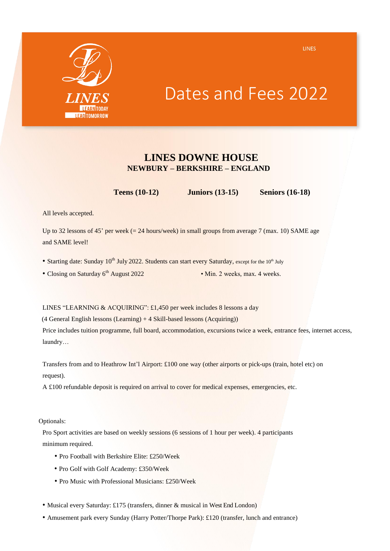

## Dates and Fees 2022

### **LINES DOWNE HOUSE NEWBURY – BERKSHIRE – ENGLAND**

**Teens (10-12) Juniors (13-15) Seniors (16-18)**

All levels accepted.

Up to 32 lessons of 45' per week  $(= 24$  hours/week) in small groups from average 7 (max. 10) SAME age and SAME level!

- Starting date: Sunday 10<sup>th</sup> July 2022. Students can start every Saturday, except for the 10<sup>th</sup> July
- Closing on Saturday 6<sup>th</sup> August 2022 Min. 2 weeks, max. 4 weeks.

LINES "LEARNING & ACQUIRING": £1,450 per week includes 8 lessons a day

 $(4$  General English lessons  $(Learning) + 4$  Skill-based lessons  $(Acquiring)$ )

Price includes tuition programme, full board, accommodation, excursions twice a week, entrance fees, internet access, laundry…

Transfers from and to Heathrow Int'l Airport: £100 one way (other airports or pick-ups (train, hotel etc) on request).

A £100 refundable deposit is required on arrival to cover for medical expenses, emergencies, etc.

Optionals:

Pro Sport activities are based on weekly sessions (6 sessions of 1 hour per week). 4 participants minimum required.

- Pro Football with Berkshire Elite: £250/Week
- Pro Golf with Golf Academy: £350/Week
- Pro Music with Professional Musicians: £250/Week
- Musical every Saturday: £175 (transfers, dinner & musical in West End London)
- Amusement park every Sunday (Harry Potter/Thorpe Park): £120 (transfer, lunch and entrance)

LINES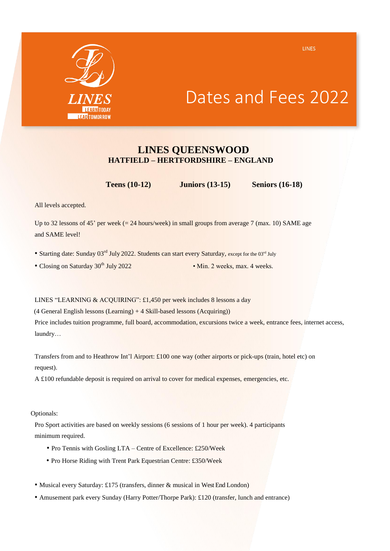

### Dates and Fees 2022

#### **LINES QUEENSWOOD HATFIELD – HERTFORDSHIRE – ENGLAND**

**Teens (10-12) Juniors (13-15) Seniors (16-18)**

All levels accepted.

Up to 32 lessons of 45' per week  $(= 24$  hours/week) in small groups from average 7 (max. 10) SAME age and SAME level!

- Starting date: Sunday 03<sup>rd</sup> July 2022. Students can start every Saturday, except for the 03<sup>rd</sup> July
- Closing on Saturday 30<sup>th</sup> July 2022 Min. 2 weeks, max. 4 weeks.

LINES "LEARNING & ACQUIRING": £1,450 per week includes 8 lessons a day

(4 General English lessons (Learning) + 4 Skill-based lessons (Acquiring))

Price includes tuition programme, full board, accommodation, excursions twice a week, entrance fees, internet access, laundry…

Transfers from and to Heathrow Int'l Airport: £100 one way (other airports or pick-ups (train, hotel etc) on request).

A £100 refundable deposit is required on arrival to cover for medical expenses, emergencies, etc.

Optionals:

Pro Sport activities are based on weekly sessions (6 sessions of 1 hour per week). 4 participants minimum required.

- Pro Tennis with Gosling LTA Centre of Excellence: £250/Week
- Pro Horse Riding with Trent Park Equestrian Centre: £350/Week
- Musical every Saturday: £175 (transfers, dinner & musical in West End London)
- Amusement park every Sunday (Harry Potter/Thorpe Park): £120 (transfer, lunch and entrance)

LINES